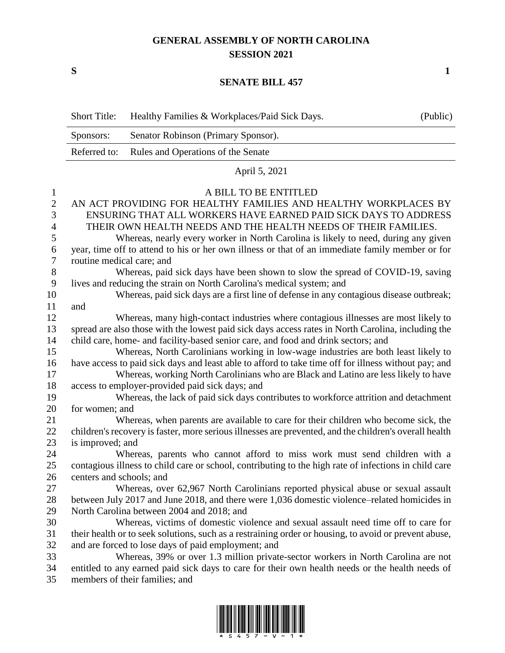## **GENERAL ASSEMBLY OF NORTH CAROLINA SESSION 2021**

## **SENATE BILL 457**

|                  | <b>Short Title:</b>                                                                                    | Healthy Families & Workplaces/Paid Sick Days.                                                         | (Public) |  |  |
|------------------|--------------------------------------------------------------------------------------------------------|-------------------------------------------------------------------------------------------------------|----------|--|--|
|                  | Sponsors:                                                                                              | Senator Robinson (Primary Sponsor).                                                                   |          |  |  |
|                  | Referred to:                                                                                           | Rules and Operations of the Senate                                                                    |          |  |  |
|                  |                                                                                                        | April 5, 2021                                                                                         |          |  |  |
| $\mathbf{1}$     |                                                                                                        | A BILL TO BE ENTITLED                                                                                 |          |  |  |
| $\mathbf{2}$     |                                                                                                        | AN ACT PROVIDING FOR HEALTHY FAMILIES AND HEALTHY WORKPLACES BY                                       |          |  |  |
| $\mathfrak{Z}$   | ENSURING THAT ALL WORKERS HAVE EARNED PAID SICK DAYS TO ADDRESS                                        |                                                                                                       |          |  |  |
| 4                | THEIR OWN HEALTH NEEDS AND THE HEALTH NEEDS OF THEIR FAMILIES.                                         |                                                                                                       |          |  |  |
| 5                |                                                                                                        | Whereas, nearly every worker in North Carolina is likely to need, during any given                    |          |  |  |
| 6                |                                                                                                        | year, time off to attend to his or her own illness or that of an immediate family member or for       |          |  |  |
| $\boldsymbol{7}$ | routine medical care; and                                                                              |                                                                                                       |          |  |  |
| $8\,$            |                                                                                                        | Whereas, paid sick days have been shown to slow the spread of COVID-19, saving                        |          |  |  |
| $\boldsymbol{9}$ |                                                                                                        | lives and reducing the strain on North Carolina's medical system; and                                 |          |  |  |
| 10               |                                                                                                        | Whereas, paid sick days are a first line of defense in any contagious disease outbreak;               |          |  |  |
| 11               | and                                                                                                    |                                                                                                       |          |  |  |
| 12               |                                                                                                        | Whereas, many high-contact industries where contagious illnesses are most likely to                   |          |  |  |
| 13               |                                                                                                        | spread are also those with the lowest paid sick days access rates in North Carolina, including the    |          |  |  |
| 14               |                                                                                                        | child care, home- and facility-based senior care, and food and drink sectors; and                     |          |  |  |
| 15               |                                                                                                        | Whereas, North Carolinians working in low-wage industries are both least likely to                    |          |  |  |
| 16               |                                                                                                        | have access to paid sick days and least able to afford to take time off for illness without pay; and  |          |  |  |
| 17               |                                                                                                        | Whereas, working North Carolinians who are Black and Latino are less likely to have                   |          |  |  |
| 18               |                                                                                                        | access to employer-provided paid sick days; and                                                       |          |  |  |
| 19               |                                                                                                        | Whereas, the lack of paid sick days contributes to workforce attrition and detachment                 |          |  |  |
| 20               | for women; and                                                                                         |                                                                                                       |          |  |  |
| 21               |                                                                                                        | Whereas, when parents are available to care for their children who become sick, the                   |          |  |  |
| 22               | children's recovery is faster, more serious illnesses are prevented, and the children's overall health |                                                                                                       |          |  |  |
| 23               | is improved; and                                                                                       |                                                                                                       |          |  |  |
| 24               |                                                                                                        | Whereas, parents who cannot afford to miss work must send children with a                             |          |  |  |
| 25               |                                                                                                        | contagious illness to child care or school, contributing to the high rate of infections in child care |          |  |  |
| 26               | centers and schools; and                                                                               |                                                                                                       |          |  |  |
| 27               |                                                                                                        | Whereas, over 62,967 North Carolinians reported physical abuse or sexual assault                      |          |  |  |
| 28               |                                                                                                        | between July 2017 and June 2018, and there were 1,036 domestic violence–related homicides in          |          |  |  |
| 29               |                                                                                                        | North Carolina between 2004 and 2018; and                                                             |          |  |  |
| 30               |                                                                                                        | Whereas, victims of domestic violence and sexual assault need time off to care for                    |          |  |  |
| 31               |                                                                                                        | their health or to seek solutions, such as a restraining order or housing, to avoid or prevent abuse, |          |  |  |
| 32               |                                                                                                        | and are forced to lose days of paid employment; and                                                   |          |  |  |
| 33               |                                                                                                        | Whereas, 39% or over 1.3 million private-sector workers in North Carolina are not                     |          |  |  |
| 34               |                                                                                                        | entitled to any earned paid sick days to care for their own health needs or the health needs of       |          |  |  |
| 35               |                                                                                                        | members of their families; and                                                                        |          |  |  |



**S 1**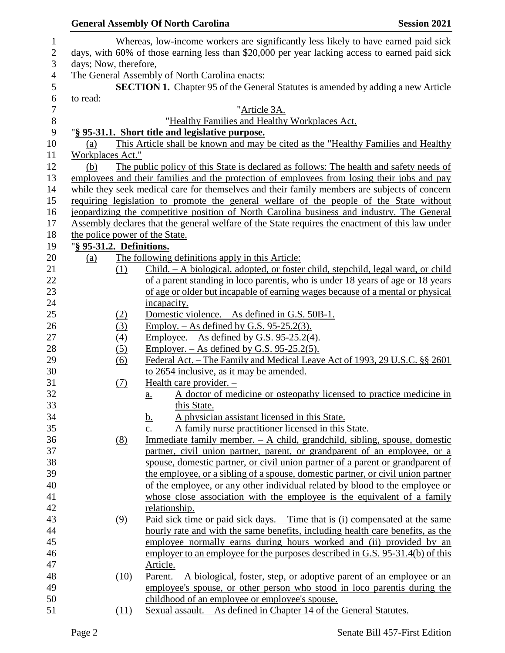|                          | <b>General Assembly Of North Carolina</b><br><b>Session 2021</b>                                                           |
|--------------------------|----------------------------------------------------------------------------------------------------------------------------|
|                          | Whereas, low-income workers are significantly less likely to have earned paid sick                                         |
|                          | days, with 60% of those earning less than \$20,000 per year lacking access to earned paid sick                             |
| days; Now, therefore,    |                                                                                                                            |
|                          | The General Assembly of North Carolina enacts:                                                                             |
|                          | <b>SECTION 1.</b> Chapter 95 of the General Statutes is amended by adding a new Article                                    |
| to read:                 |                                                                                                                            |
|                          | "Article 3A.                                                                                                               |
|                          | "Healthy Families and Healthy Workplaces Act.                                                                              |
|                          | "§ 95-31.1. Short title and legislative purpose.                                                                           |
| (a)                      | This Article shall be known and may be cited as the "Healthy Families and Healthy                                          |
| Workplaces Act."         |                                                                                                                            |
| (b)                      | The public policy of this State is declared as follows: The health and safety needs of                                     |
|                          | employees and their families and the protection of employees from losing their jobs and pay                                |
|                          | while they seek medical care for themselves and their family members are subjects of concern                               |
|                          | requiring legislation to promote the general welfare of the people of the State without                                    |
|                          | jeopardizing the competitive position of North Carolina business and industry. The General                                 |
|                          | Assembly declares that the general welfare of the State requires the enactment of this law under                           |
|                          | the police power of the State.                                                                                             |
| "§ 95-31.2. Definitions. |                                                                                                                            |
| (a)                      | The following definitions apply in this Article:                                                                           |
| (1)                      | Child. - A biological, adopted, or foster child, stepchild, legal ward, or child                                           |
|                          | of a parent standing in loco parentis, who is under 18 years of age or 18 years                                            |
|                          | of age or older but incapable of earning wages because of a mental or physical                                             |
|                          | incapacity.                                                                                                                |
| (2)                      | Domestic violence. - As defined in G.S. 50B-1.                                                                             |
| (3)                      | Employ. $-$ As defined by G.S. 95-25.2(3).                                                                                 |
| (4)                      | Employee. $-$ As defined by G.S. 95-25.2(4).                                                                               |
| (5)                      | <u>Employer. – As defined by G.S. 95-25.2(5).</u>                                                                          |
| (6)                      | <u> Federal Act. – The Family and Medical Leave Act of 1993, 29 U.S.C. §§ 2601</u>                                         |
|                          | to 2654 inclusive, as it may be amended.                                                                                   |
| (7)                      | <u>Health care provider. -</u>                                                                                             |
|                          | A doctor of medicine or osteopathy licensed to practice medicine in<br><u>a.</u>                                           |
|                          | this State.                                                                                                                |
|                          | A physician assistant licensed in this State.<br><u>b.</u>                                                                 |
|                          | A family nurse practitioner licensed in this State.<br>$\underline{c}$ .                                                   |
| (8)                      | Immediate family member. $-$ A child, grandchild, sibling, spouse, domestic                                                |
|                          | partner, civil union partner, parent, or grandparent of an employee, or a                                                  |
|                          | spouse, domestic partner, or civil union partner of a parent or grandparent of                                             |
|                          | the employee, or a sibling of a spouse, domestic partner, or civil union partner                                           |
|                          | of the employee, or any other individual related by blood to the employee or                                               |
|                          | whose close association with the employee is the equivalent of a family                                                    |
|                          | relationship.                                                                                                              |
| (9)                      | Paid sick time or paid sick days. – Time that is (i) compensated at the same                                               |
|                          | hourly rate and with the same benefits, including health care benefits, as the                                             |
|                          | employee normally earns during hours worked and (ii) provided by an                                                        |
|                          | employer to an employee for the purposes described in G.S. 95-31.4(b) of this                                              |
|                          | Article.                                                                                                                   |
| (10)                     | <u>Parent. – A biological, foster, step, or adoptive parent of an employee or an</u>                                       |
|                          | employee's spouse, or other person who stood in loco parentis during the<br>childhood of an employee or employee's spouse. |
|                          |                                                                                                                            |
| (11)                     | <u>Sexual assault. – As defined in Chapter 14 of the General Statutes.</u>                                                 |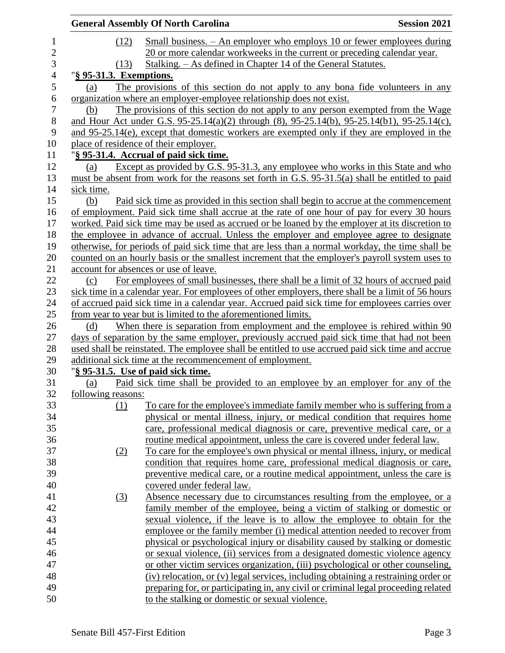|                         | <b>General Assembly Of North Carolina</b>                                                          | <b>Session 2021</b> |
|-------------------------|----------------------------------------------------------------------------------------------------|---------------------|
| (12)                    | Small business. – An employer who employs 10 or fewer employees during                             |                     |
|                         | 20 or more calendar workweeks in the current or preceding calendar year.                           |                     |
| (13)                    | <u> Stalking. – As defined in Chapter 14 of the General Statutes.</u>                              |                     |
| "§ 95-31.3. Exemptions. |                                                                                                    |                     |
| (a)                     | The provisions of this section do not apply to any bona fide volunteers in any                     |                     |
|                         | organization where an employer-employee relationship does not exist.                               |                     |
| (b)                     | The provisions of this section do not apply to any person exempted from the Wage                   |                     |
|                         | and Hour Act under G.S. 95-25.14(a)(2) through (8), 95-25.14(b), 95-25.14(b1), 95-25.14(c),        |                     |
|                         | and 95-25.14(e), except that domestic workers are exempted only if they are employed in the        |                     |
|                         | place of residence of their employer.                                                              |                     |
|                         | "§ 95-31.4. Accrual of paid sick time.                                                             |                     |
| (a)                     | Except as provided by G.S. 95-31.3, any employee who works in this State and who                   |                     |
|                         | must be absent from work for the reasons set forth in G.S. 95-31.5(a) shall be entitled to paid    |                     |
| sick time.              |                                                                                                    |                     |
| (b)                     | Paid sick time as provided in this section shall begin to accrue at the commencement               |                     |
|                         | of employment. Paid sick time shall accrue at the rate of one hour of pay for every 30 hours       |                     |
|                         | worked. Paid sick time may be used as accrued or be loaned by the employer at its discretion to    |                     |
|                         | the employee in advance of accrual. Unless the employer and employee agree to designate            |                     |
|                         | otherwise, for periods of paid sick time that are less than a normal workday, the time shall be    |                     |
|                         | counted on an hourly basis or the smallest increment that the employer's payroll system uses to    |                     |
|                         | account for absences or use of leave.                                                              |                     |
| (c)                     | For employees of small businesses, there shall be a limit of 32 hours of accrued paid              |                     |
|                         | sick time in a calendar year. For employees of other employers, there shall be a limit of 56 hours |                     |
|                         | of accrued paid sick time in a calendar year. Accrued paid sick time for employees carries over    |                     |
|                         | from year to year but is limited to the aforementioned limits.                                     |                     |
| (d)                     | When there is separation from employment and the employee is rehired within 90                     |                     |
|                         | days of separation by the same employer, previously accrued paid sick time that had not been       |                     |
|                         | used shall be reinstated. The employee shall be entitled to use accrued paid sick time and accrue  |                     |
|                         | additional sick time at the recommencement of employment.                                          |                     |
|                         | "§ 95-31.5. Use of paid sick time.                                                                 |                     |
| (a)                     | Paid sick time shall be provided to an employee by an employer for any of the                      |                     |
| following reasons:      |                                                                                                    |                     |
| (1)                     | To care for the employee's immediate family member who is suffering from a                         |                     |
|                         | physical or mental illness, injury, or medical condition that requires home                        |                     |
|                         | care, professional medical diagnosis or care, preventive medical care, or a                        |                     |
|                         | routine medical appointment, unless the care is covered under federal law.                         |                     |
| (2)                     | To care for the employee's own physical or mental illness, injury, or medical                      |                     |
|                         | condition that requires home care, professional medical diagnosis or care,                         |                     |
|                         | preventive medical care, or a routine medical appointment, unless the care is                      |                     |
|                         | covered under federal law.                                                                         |                     |
| $\left(3\right)$        | Absence necessary due to circumstances resulting from the employee, or a                           |                     |
|                         | family member of the employee, being a victim of stalking or domestic or                           |                     |
|                         | sexual violence, if the leave is to allow the employee to obtain for the                           |                     |
|                         | employee or the family member (i) medical attention needed to recover from                         |                     |
|                         | physical or psychological injury or disability caused by stalking or domestic                      |                     |
|                         | or sexual violence, (ii) services from a designated domestic violence agency                       |                     |
|                         | or other victim services organization, (iii) psychological or other counseling,                    |                     |
|                         | (iv) relocation, or (v) legal services, including obtaining a restraining order or                 |                     |
|                         | preparing for, or participating in, any civil or criminal legal proceeding related                 |                     |
|                         | to the stalking or domestic or sexual violence.                                                    |                     |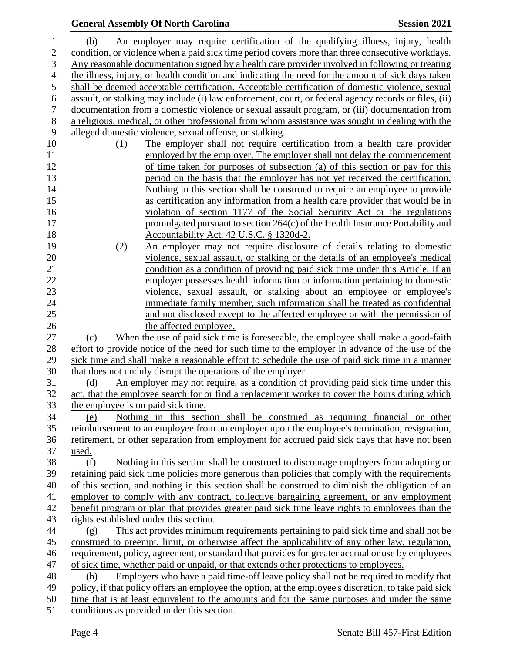|                  |                                    | <b>General Assembly Of North Carolina</b>                                                                          | <b>Session 2021</b> |
|------------------|------------------------------------|--------------------------------------------------------------------------------------------------------------------|---------------------|
| 1                | (b)                                | An employer may require certification of the qualifying illness, injury, health                                    |                     |
| $\overline{c}$   |                                    | condition, or violence when a paid sick time period covers more than three consecutive workdays.                   |                     |
| 3                |                                    | Any reasonable documentation signed by a health care provider involved in following or treating                    |                     |
| 4                |                                    | the illness, injury, or health condition and indicating the need for the amount of sick days taken                 |                     |
| $\mathfrak s$    |                                    | shall be deemed acceptable certification. Acceptable certification of domestic violence, sexual                    |                     |
| 6                |                                    | assault, or stalking may include (i) law enforcement, court, or federal agency records or files, (ii)              |                     |
| $\boldsymbol{7}$ |                                    | documentation from a domestic violence or sexual assault program, or (iii) documentation from                      |                     |
| $8\,$            |                                    | a religious, medical, or other professional from whom assistance was sought in dealing with the                    |                     |
| 9                |                                    | alleged domestic violence, sexual offense, or stalking.                                                            |                     |
| 10               | (1)                                | The employer shall not require certification from a health care provider                                           |                     |
| 11               |                                    | employed by the employer. The employer shall not delay the commencement                                            |                     |
| 12               |                                    | of time taken for purposes of subsection (a) of this section or pay for this                                       |                     |
| 13               |                                    | period on the basis that the employer has not yet received the certification.                                      |                     |
| 14               |                                    | Nothing in this section shall be construed to require an employee to provide                                       |                     |
| 15               |                                    | as certification any information from a health care provider that would be in                                      |                     |
| 16               |                                    | violation of section 1177 of the Social Security Act or the regulations                                            |                     |
| 17               |                                    | promulgated pursuant to section 264(c) of the Health Insurance Portability and                                     |                     |
| 18<br>19         |                                    | Accountability Act, 42 U.S.C. § 1320d-2.<br>An employer may not require disclosure of details relating to domestic |                     |
| 20               | (2)                                | violence, sexual assault, or stalking or the details of an employee's medical                                      |                     |
| 21               |                                    | condition as a condition of providing paid sick time under this Article. If an                                     |                     |
| 22               |                                    | employer possesses health information or information pertaining to domestic                                        |                     |
| 23               |                                    | violence, sexual assault, or stalking about an employee or employee's                                              |                     |
| 24               |                                    | immediate family member, such information shall be treated as confidential                                         |                     |
| 25               |                                    | and not disclosed except to the affected employee or with the permission of                                        |                     |
| 26               |                                    | the affected employee.                                                                                             |                     |
| 27               | (c)                                | When the use of paid sick time is foreseeable, the employee shall make a good-faith                                |                     |
| 28               |                                    | effort to provide notice of the need for such time to the employer in advance of the use of the                    |                     |
| 29               |                                    | sick time and shall make a reasonable effort to schedule the use of paid sick time in a manner                     |                     |
| 30               |                                    | that does not unduly disrupt the operations of the employer.                                                       |                     |
| 31               | <u>(d)</u>                         | An employer may not require, as a condition of providing paid sick time under this                                 |                     |
| 32               |                                    | act, that the employee search for or find a replacement worker to cover the hours during which                     |                     |
| 33               | the employee is on paid sick time. |                                                                                                                    |                     |
| 34               | (e)                                | Nothing in this section shall be construed as requiring financial or other                                         |                     |
| 35               |                                    | reimbursement to an employee from an employer upon the employee's termination, resignation,                        |                     |
| 36<br>37         | used.                              | retirement, or other separation from employment for accrued paid sick days that have not been                      |                     |
| 38               | (f)                                | Nothing in this section shall be construed to discourage employers from adopting or                                |                     |
| 39               |                                    | retaining paid sick time policies more generous than policies that comply with the requirements                    |                     |
| 40               |                                    | of this section, and nothing in this section shall be construed to diminish the obligation of an                   |                     |
| 41               |                                    | employer to comply with any contract, collective bargaining agreement, or any employment                           |                     |
| 42               |                                    | benefit program or plan that provides greater paid sick time leave rights to employees than the                    |                     |
| 43               |                                    | rights established under this section.                                                                             |                     |
| 44               | (g)                                | This act provides minimum requirements pertaining to paid sick time and shall not be                               |                     |
| 45               |                                    | construed to preempt, limit, or otherwise affect the applicability of any other law, regulation,                   |                     |
| 46               |                                    | requirement, policy, agreement, or standard that provides for greater accrual or use by employees                  |                     |
| 47               |                                    | of sick time, whether paid or unpaid, or that extends other protections to employees.                              |                     |
| 48               | (h)                                | Employers who have a paid time-off leave policy shall not be required to modify that                               |                     |
| 49               |                                    | policy, if that policy offers an employee the option, at the employee's discretion, to take paid sick              |                     |
| 50               |                                    | time that is at least equivalent to the amounts and for the same purposes and under the same                       |                     |
| 51               |                                    | conditions as provided under this section.                                                                         |                     |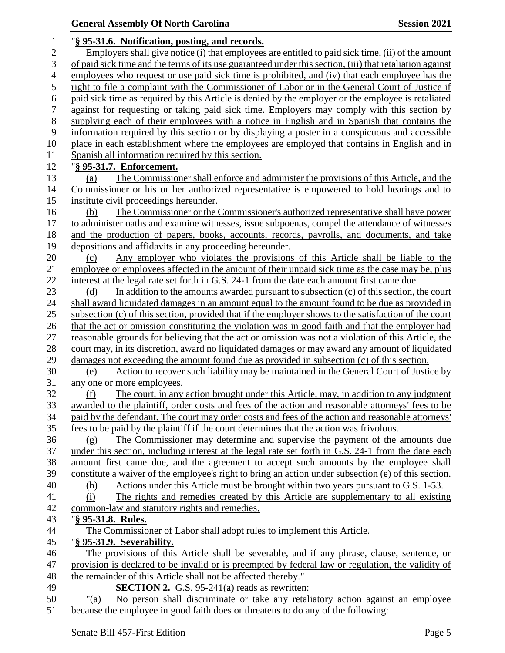## **General Assembly Of North Carolina Session 2021**  "**§ 95-31.6. Notification, posting, and records.** Employers shall give notice (i) that employees are entitled to paid sick time, (ii) of the amount of paid sick time and the terms of its use guaranteed under this section, (iii) that retaliation against employees who request or use paid sick time is prohibited, and (iv) that each employee has the right to file a complaint with the Commissioner of Labor or in the General Court of Justice if paid sick time as required by this Article is denied by the employer or the employee is retaliated against for requesting or taking paid sick time. Employers may comply with this section by supplying each of their employees with a notice in English and in Spanish that contains the information required by this section or by displaying a poster in a conspicuous and accessible place in each establishment where the employees are employed that contains in English and in Spanish all information required by this section. "**§ 95-31.7. Enforcement.** (a) The Commissioner shall enforce and administer the provisions of this Article, and the Commissioner or his or her authorized representative is empowered to hold hearings and to institute civil proceedings hereunder. (b) The Commissioner or the Commissioner's authorized representative shall have power to administer oaths and examine witnesses, issue subpoenas, compel the attendance of witnesses and the production of papers, books, accounts, records, payrolls, and documents, and take depositions and affidavits in any proceeding hereunder. (c) Any employer who violates the provisions of this Article shall be liable to the employee or employees affected in the amount of their unpaid sick time as the case may be, plus interest at the legal rate set forth in G.S. 24-1 from the date each amount first came due. (d) In addition to the amounts awarded pursuant to subsection (c) of this section, the court shall award liquidated damages in an amount equal to the amount found to be due as provided in subsection (c) of this section, provided that if the employer shows to the satisfaction of the court that the act or omission constituting the violation was in good faith and that the employer had reasonable grounds for believing that the act or omission was not a violation of this Article, the court may, in its discretion, award no liquidated damages or may award any amount of liquidated damages not exceeding the amount found due as provided in subsection (c) of this section. (e) Action to recover such liability may be maintained in the General Court of Justice by any one or more employees. (f) The court, in any action brought under this Article, may, in addition to any judgment awarded to the plaintiff, order costs and fees of the action and reasonable attorneys' fees to be paid by the defendant. The court may order costs and fees of the action and reasonable attorneys' fees to be paid by the plaintiff if the court determines that the action was frivolous. (g) The Commissioner may determine and supervise the payment of the amounts due under this section, including interest at the legal rate set forth in G.S. 24-1 from the date each amount first came due, and the agreement to accept such amounts by the employee shall constitute a waiver of the employee's right to bring an action under subsection (e) of this section. (h) Actions under this Article must be brought within two years pursuant to G.S. 1-53. (i) The rights and remedies created by this Article are supplementary to all existing common-law and statutory rights and remedies. "**§ 95-31.8. Rules.** The Commissioner of Labor shall adopt rules to implement this Article. "**§ 95-31.9. Severability.** The provisions of this Article shall be severable, and if any phrase, clause, sentence, or provision is declared to be invalid or is preempted by federal law or regulation, the validity of the remainder of this Article shall not be affected thereby." **SECTION 2.** G.S. 95-241(a) reads as rewritten: "(a) No person shall discriminate or take any retaliatory action against an employee because the employee in good faith does or threatens to do any of the following: